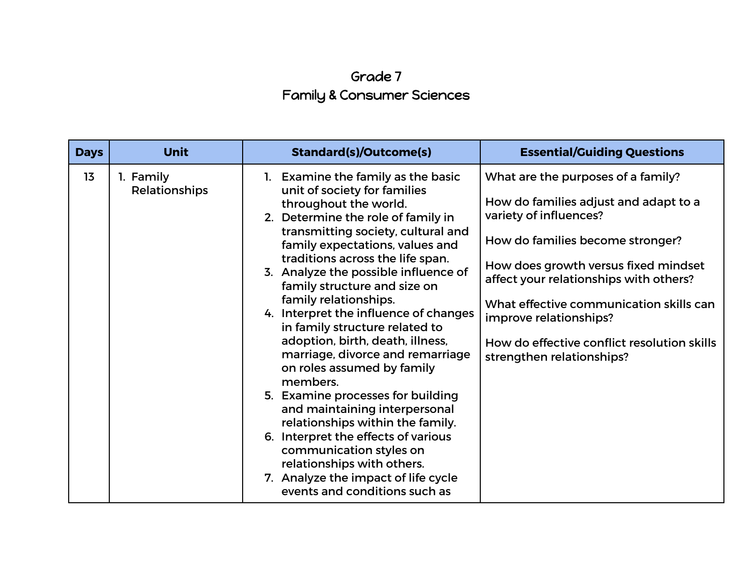## Grade 7 Family & Consumer Sciences

| <b>Days</b> | <b>Unit</b>                | <b>Standard(s)/Outcome(s)</b>                                                                                                                                                                                                                                                                                                                                                                                                                                                                                                                                                                                                                                                                                                                                                                                                  | <b>Essential/Guiding Questions</b>                                                                                                                                                                                                                                                                                                                                           |
|-------------|----------------------------|--------------------------------------------------------------------------------------------------------------------------------------------------------------------------------------------------------------------------------------------------------------------------------------------------------------------------------------------------------------------------------------------------------------------------------------------------------------------------------------------------------------------------------------------------------------------------------------------------------------------------------------------------------------------------------------------------------------------------------------------------------------------------------------------------------------------------------|------------------------------------------------------------------------------------------------------------------------------------------------------------------------------------------------------------------------------------------------------------------------------------------------------------------------------------------------------------------------------|
| 13          | 1. Family<br>Relationships | 1. Examine the family as the basic<br>unit of society for families<br>throughout the world.<br>2. Determine the role of family in<br>transmitting society, cultural and<br>family expectations, values and<br>traditions across the life span.<br>3. Analyze the possible influence of<br>family structure and size on<br>family relationships.<br>4. Interpret the influence of changes<br>in family structure related to<br>adoption, birth, death, illness,<br>marriage, divorce and remarriage<br>on roles assumed by family<br>members.<br>5. Examine processes for building<br>and maintaining interpersonal<br>relationships within the family.<br>6. Interpret the effects of various<br>communication styles on<br>relationships with others.<br>7. Analyze the impact of life cycle<br>events and conditions such as | What are the purposes of a family?<br>How do families adjust and adapt to a<br>variety of influences?<br>How do families become stronger?<br>How does growth versus fixed mindset<br>affect your relationships with others?<br>What effective communication skills can<br>improve relationships?<br>How do effective conflict resolution skills<br>strengthen relationships? |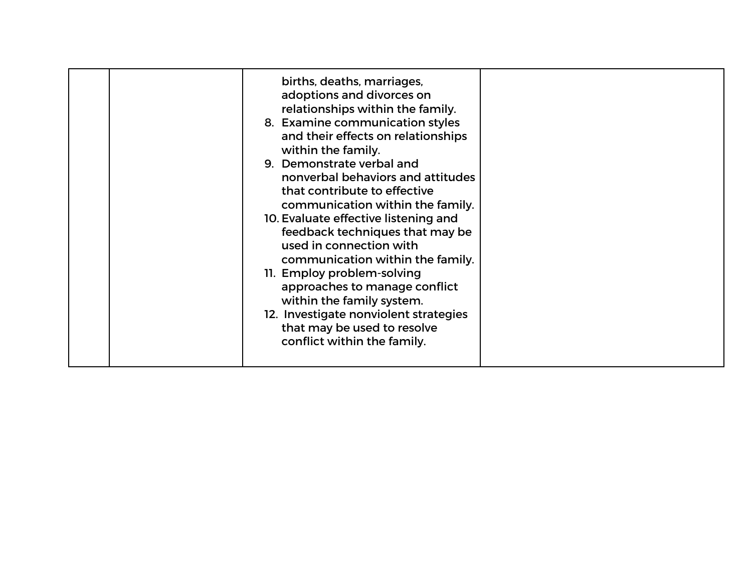|  | births, deaths, marriages,<br>adoptions and divorces on<br>relationships within the family.<br>8. Examine communication styles<br>and their effects on relationships<br>within the family.<br>9. Demonstrate verbal and<br>nonverbal behaviors and attitudes<br>that contribute to effective<br>communication within the family.<br>10. Evaluate effective listening and<br>feedback techniques that may be<br>used in connection with<br>communication within the family.<br>11. Employ problem-solving<br>approaches to manage conflict<br>within the family system.<br>12. Investigate nonviolent strategies<br>that may be used to resolve<br>conflict within the family. |  |
|--|-------------------------------------------------------------------------------------------------------------------------------------------------------------------------------------------------------------------------------------------------------------------------------------------------------------------------------------------------------------------------------------------------------------------------------------------------------------------------------------------------------------------------------------------------------------------------------------------------------------------------------------------------------------------------------|--|
|--|-------------------------------------------------------------------------------------------------------------------------------------------------------------------------------------------------------------------------------------------------------------------------------------------------------------------------------------------------------------------------------------------------------------------------------------------------------------------------------------------------------------------------------------------------------------------------------------------------------------------------------------------------------------------------------|--|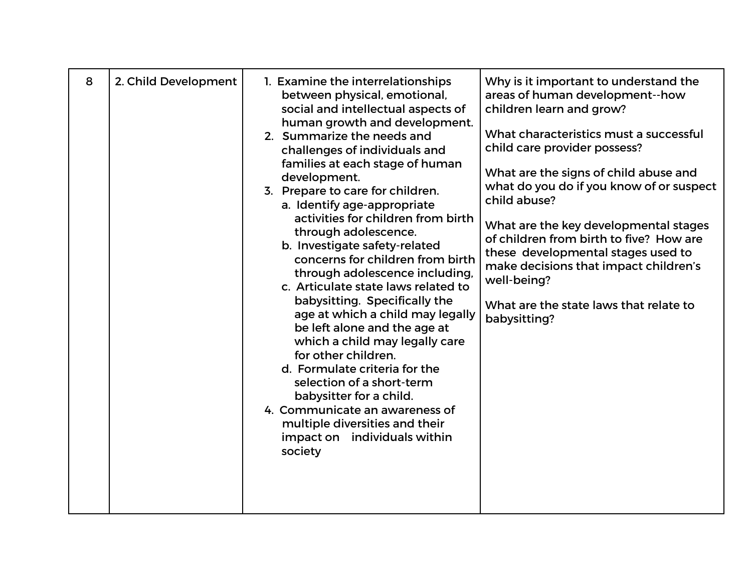| 8<br>2. Child Development |
|---------------------------|
|                           |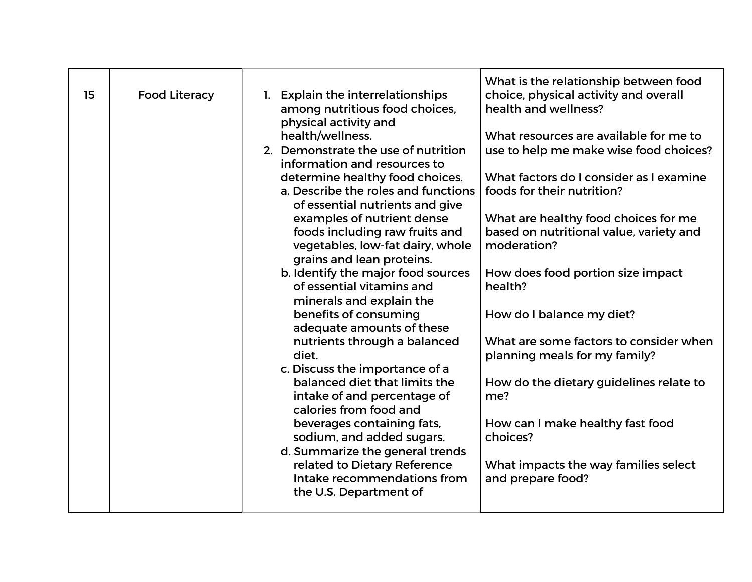| 15 | <b>Food Literacy</b> | 1. Explain the interrelationships<br>among nutritious food choices,<br>physical activity and<br>health/wellness.<br>2. Demonstrate the use of nutrition<br>information and resources to<br>determine healthy food choices.<br>a. Describe the roles and functions<br>of essential nutrients and give<br>examples of nutrient dense<br>foods including raw fruits and<br>vegetables, low-fat dairy, whole<br>grains and lean proteins.<br>b. Identify the major food sources<br>of essential vitamins and<br>minerals and explain the<br>benefits of consuming<br>adequate amounts of these<br>nutrients through a balanced<br>diet.<br>c. Discuss the importance of a<br>balanced diet that limits the<br>intake of and percentage of<br>calories from food and<br>beverages containing fats,<br>sodium, and added sugars.<br>d. Summarize the general trends<br>related to Dietary Reference<br>Intake recommendations from<br>the U.S. Department of | What is the relationship between food<br>choice, physical activity and overall<br>health and wellness?<br>What resources are available for me to<br>use to help me make wise food choices?<br>What factors do I consider as I examine<br>foods for their nutrition?<br>What are healthy food choices for me<br>based on nutritional value, variety and<br>moderation?<br>How does food portion size impact<br>health?<br>How do I balance my diet?<br>What are some factors to consider when<br>planning meals for my family?<br>How do the dietary guidelines relate to<br>me?<br>How can I make healthy fast food<br>choices?<br>What impacts the way families select<br>and prepare food? |
|----|----------------------|--------------------------------------------------------------------------------------------------------------------------------------------------------------------------------------------------------------------------------------------------------------------------------------------------------------------------------------------------------------------------------------------------------------------------------------------------------------------------------------------------------------------------------------------------------------------------------------------------------------------------------------------------------------------------------------------------------------------------------------------------------------------------------------------------------------------------------------------------------------------------------------------------------------------------------------------------------|----------------------------------------------------------------------------------------------------------------------------------------------------------------------------------------------------------------------------------------------------------------------------------------------------------------------------------------------------------------------------------------------------------------------------------------------------------------------------------------------------------------------------------------------------------------------------------------------------------------------------------------------------------------------------------------------|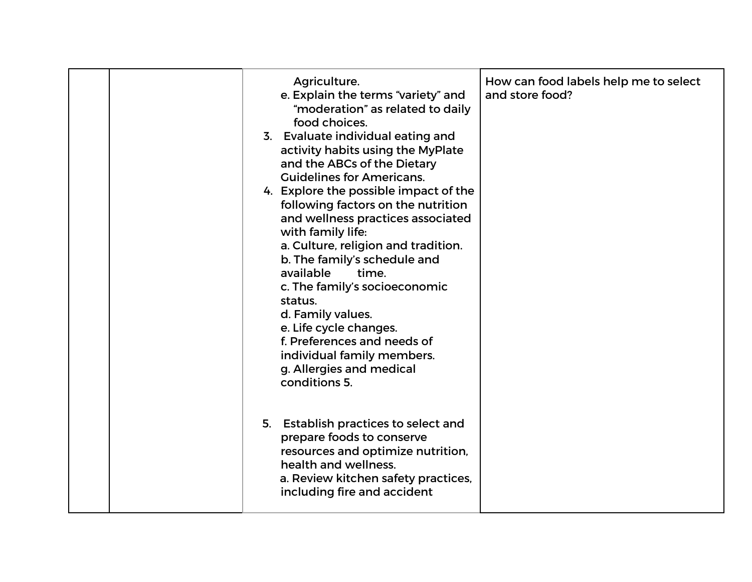|  | Agriculture.<br>e. Explain the terms "variety" and<br>"moderation" as related to daily<br>food choices.<br>3. Evaluate individual eating and<br>activity habits using the MyPlate<br>and the ABCs of the Dietary<br><b>Guidelines for Americans.</b><br>4. Explore the possible impact of the<br>following factors on the nutrition<br>and wellness practices associated<br>with family life:<br>a. Culture, religion and tradition.<br>b. The family's schedule and<br>available<br>time.<br>c. The family's socioeconomic<br>status.<br>d. Family values.<br>e. Life cycle changes.<br>f. Preferences and needs of<br>individual family members.<br>g. Allergies and medical<br>conditions 5. | How can food labels help me to select<br>and store food? |
|--|-------------------------------------------------------------------------------------------------------------------------------------------------------------------------------------------------------------------------------------------------------------------------------------------------------------------------------------------------------------------------------------------------------------------------------------------------------------------------------------------------------------------------------------------------------------------------------------------------------------------------------------------------------------------------------------------------|----------------------------------------------------------|
|  | 5. Establish practices to select and<br>prepare foods to conserve<br>resources and optimize nutrition,<br>health and wellness.<br>a. Review kitchen safety practices,<br>including fire and accident                                                                                                                                                                                                                                                                                                                                                                                                                                                                                            |                                                          |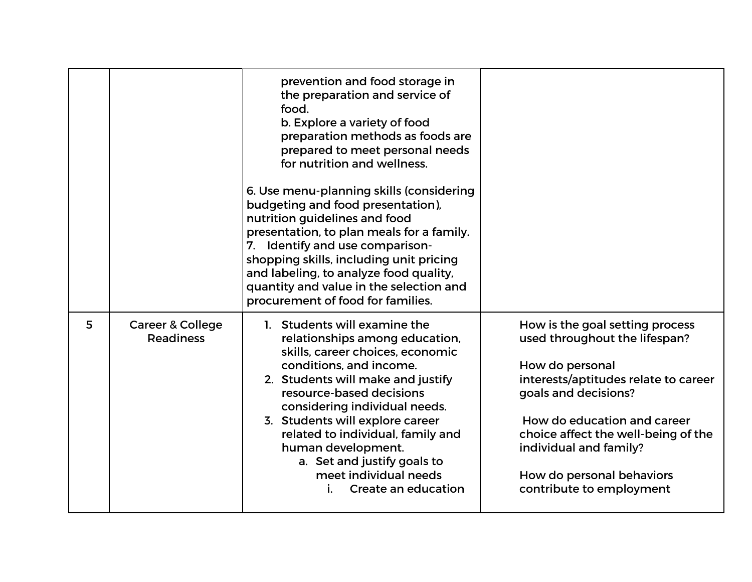|   |                                                 | prevention and food storage in<br>the preparation and service of<br>food.<br>b. Explore a variety of food<br>preparation methods as foods are<br>prepared to meet personal needs<br>for nutrition and wellness.<br>6. Use menu-planning skills (considering<br>budgeting and food presentation),<br>nutrition guidelines and food<br>presentation, to plan meals for a family.<br>7. Identify and use comparison-<br>shopping skills, including unit pricing<br>and labeling, to analyze food quality,<br>quantity and value in the selection and<br>procurement of food for families. |                                                                                                                                                                                                                                                                                                              |  |
|---|-------------------------------------------------|----------------------------------------------------------------------------------------------------------------------------------------------------------------------------------------------------------------------------------------------------------------------------------------------------------------------------------------------------------------------------------------------------------------------------------------------------------------------------------------------------------------------------------------------------------------------------------------|--------------------------------------------------------------------------------------------------------------------------------------------------------------------------------------------------------------------------------------------------------------------------------------------------------------|--|
| 5 | <b>Career &amp; College</b><br><b>Readiness</b> | 1. Students will examine the<br>relationships among education,<br>skills, career choices, economic<br>conditions, and income.<br>2. Students will make and justify<br>resource-based decisions<br>considering individual needs.<br>3. Students will explore career<br>related to individual, family and<br>human development.<br>a. Set and justify goals to<br>meet individual needs<br>Create an education<br>i.                                                                                                                                                                     | How is the goal setting process<br>used throughout the lifespan?<br>How do personal<br>interests/aptitudes relate to career<br>goals and decisions?<br>How do education and career<br>choice affect the well-being of the<br>individual and family?<br>How do personal behaviors<br>contribute to employment |  |